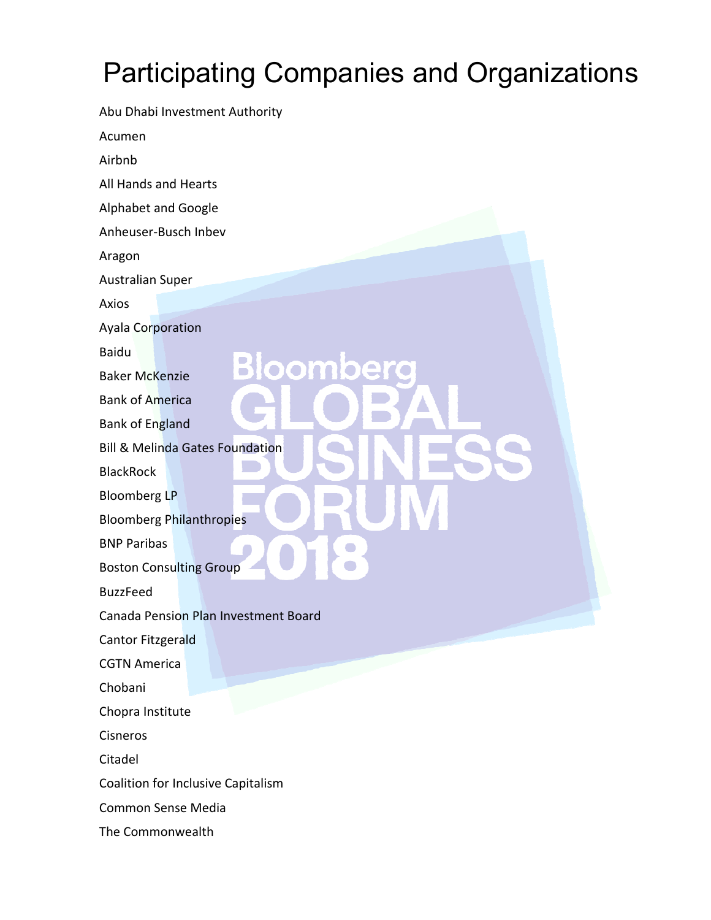## Participating Companies and Organizations

Abu Dhabi Investment Authority Acumen Airbnb All Hands and Hearts Alphabet and Google Anheuser‐Busch Inbev Aragon Australian Super Axios Ayala Corporation Baidu Bloomber Baker McKenzie Bank of America Bank of England Bill & Melinda Gates Foundation **BlackRock** Bloomberg LP Bloomberg Philanthropies BNP Paribas Boston Consulting Group BuzzFeed Canada Pension Plan Investment Board Cantor Fitzgerald CGTN America Chobani Chopra Institute Cisneros Citadel Coalition for Inclusive Capitalism Common Sense Media The Commonwealth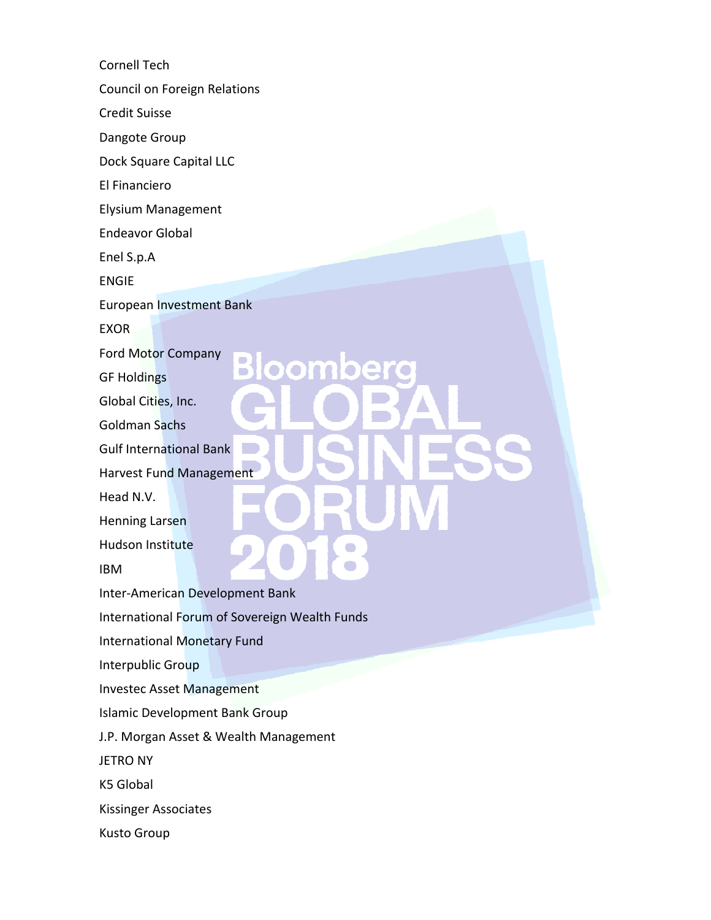Cornell Tech Council on Foreign Relations Credit Suisse Dangote Group Dock Square Capital LLC El Financiero Elysium Management Endeavor Global Enel S.p.A ENGIE European Investment Bank EXOR Ford Motor Company B oombe GF Holdings Global Cities, Inc. Goldman Sachs Gulf International Bank Harvest Fund Management Head N.V. Henning Larsen Hudson Institute IBM Inter‐American Development Bank International Forum of Sovereign Wealth Funds International Monetary Fund Interpublic Group Investec Asset Management Islamic Development Bank Group J.P. Morgan Asset & Wealth Management JETRO NY K5 Global Kissinger Associates Kusto Group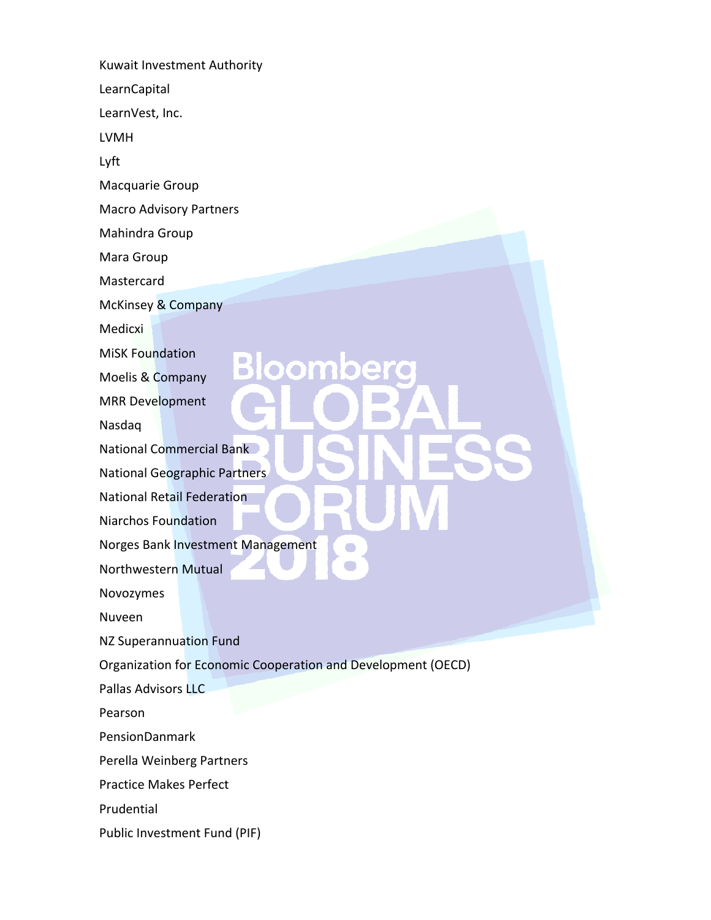Kuwait Investment Authority LearnCapital LearnVest, Inc. LVMH Lyft Macquarie Group Macro Advisory Partners Mahindra Group Mara Group Mastercard McKinsey & Company Medicxi MiSK Foundation Β oombe Moelis & Company MRR Development Nasdaq National Commercial Bank National Geographic Partners National Retail Federation Niarchos Foundation Norges Bank Investment Management  $\bullet$  $\overline{\phantom{a}}$ Northwestern Mutual Novozymes Nuveen NZ Superannuation Fund Organization for Economic Cooperation and Development (OECD) Pallas Advisors LLC Pearson PensionDanmark Perella Weinberg Partners Practice Makes Perfect Prudential Public Investment Fund (PIF)